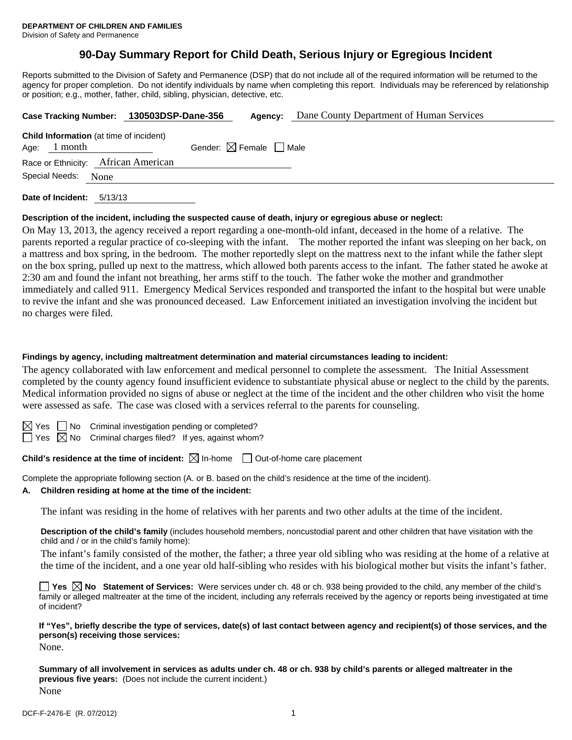# **90-Day Summary Report for Child Death, Serious Injury or Egregious Incident**

Reports submitted to the Division of Safety and Permanence (DSP) that do not include all of the required information will be returned to the agency for proper completion. Do not identify individuals by name when completing this report. Individuals may be referenced by relationship or position; e.g., mother, father, child, sibling, physician, detective, etc.

| Case Tracking Number: 130503DSP-Dane-356                         |                                        | Agency: | Dane County Department of Human Services |
|------------------------------------------------------------------|----------------------------------------|---------|------------------------------------------|
| <b>Child Information</b> (at time of incident)<br>Age: $1$ month | Gender: $\boxtimes$ Female $\Box$ Male |         |                                          |
| Race or Ethnicity: African American                              |                                        |         |                                          |
| Special Needs: None                                              |                                        |         |                                          |
| Date of Incident:<br>5/13/13                                     |                                        |         |                                          |

## **Description of the incident, including the suspected cause of death, injury or egregious abuse or neglect:**

On May 13, 2013, the agency received a report regarding a one-month-old infant, deceased in the home of a relative. The parents reported a regular practice of co-sleeping with the infant. The mother reported the infant was sleeping on her back, on a mattress and box spring, in the bedroom. The mother reportedly slept on the mattress next to the infant while the father slept on the box spring, pulled up next to the mattress, which allowed both parents access to the infant. The father stated he awoke at 2:30 am and found the infant not breathing, her arms stiff to the touch. The father woke the mother and grandmother immediately and called 911. Emergency Medical Services responded and transported the infant to the hospital but were unable to revive the infant and she was pronounced deceased. Law Enforcement initiated an investigation involving the incident but no charges were filed.

### **Findings by agency, including maltreatment determination and material circumstances leading to incident:**

The agency collaborated with law enforcement and medical personnel to complete the assessment. The Initial Assessment completed by the county agency found insufficient evidence to substantiate physical abuse or neglect to the child by the parents. Medical information provided no signs of abuse or neglect at the time of the incident and the other children who visit the home were assessed as safe. The case was closed with a services referral to the parents for counseling.

 $S \cap N$ o Criminal investigation pending or completed?

 $\Box$  Yes  $\boxtimes$  No Criminal charges filed? If yes, against whom?

# **Child's residence at the time of incident:**  $\boxtimes$  In-home  $\Box$  Out-of-home care placement

Complete the appropriate following section (A. or B. based on the child's residence at the time of the incident).

#### **A. Children residing at home at the time of the incident:**

The infant was residing in the home of relatives with her parents and two other adults at the time of the incident.

**Description of the child's family** (includes household members, noncustodial parent and other children that have visitation with the child and / or in the child's family home):

 The infant's family consisted of the mother, the father; a three year old sibling who was residing at the home of a relative at the time of the incident, and a one year old half-sibling who resides with his biological mother but visits the infant's father.

**Yes**  $\boxtimes$  **No** Statement of Services: Were services under ch. 48 or ch. 938 being provided to the child, any member of the child's family or alleged maltreater at the time of the incident, including any referrals received by the agency or reports being investigated at time of incident?

#### **If "Yes", briefly describe the type of services, date(s) of last contact between agency and recipient(s) of those services, and the person(s) receiving those services:**  None.

**Summary of all involvement in services as adults under ch. 48 or ch. 938 by child's parents or alleged maltreater in the previous five years:** (Does not include the current incident.) None